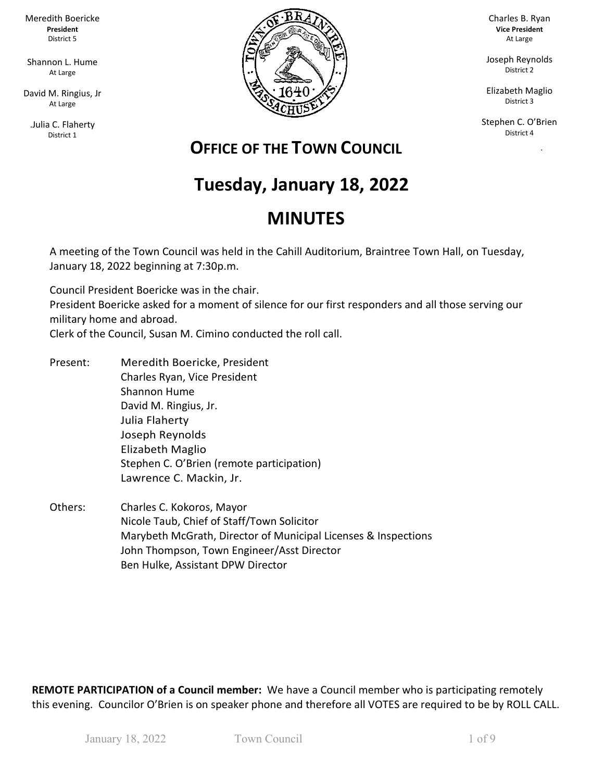Meredith Boericke **President** District 5

Shannon L. Hume At Large

David M. Ringius, Jr At Large

.Julia C. Flaherty District 1



Charles B. Ryan **Vice President** At Large

Joseph Reynolds District 2

Elizabeth Maglio District 3

Stephen C. O'Brien District 4

ka Pangka

# **OFFICE OF THE TOWN COUNCIL**

# **Tuesday, January 18, 2022**

# **MINUTES**

A meeting of the Town Council was held in the Cahill Auditorium, Braintree Town Hall, on Tuesday, January 18, 2022 beginning at 7:30p.m.

Council President Boericke was in the chair. President Boericke asked for a moment of silence for our first responders and all those serving our military home and abroad.

Clerk of the Council, Susan M. Cimino conducted the roll call.

- Present: Meredith Boericke, President Charles Ryan, Vice President Shannon Hume David M. Ringius, Jr. Julia Flaherty Joseph Reynolds Elizabeth Maglio Stephen C. O'Brien (remote participation) Lawrence C. Mackin, Jr.
- Others: Charles C. Kokoros, Mayor Nicole Taub, Chief of Staff/Town Solicitor Marybeth McGrath, Director of Municipal Licenses & Inspections John Thompson, Town Engineer/Asst Director Ben Hulke, Assistant DPW Director

**REMOTE PARTICIPATION of a Council member:** We have a Council member who is participating remotely this evening. Councilor O'Brien is on speaker phone and therefore all VOTES are required to be by ROLL CALL.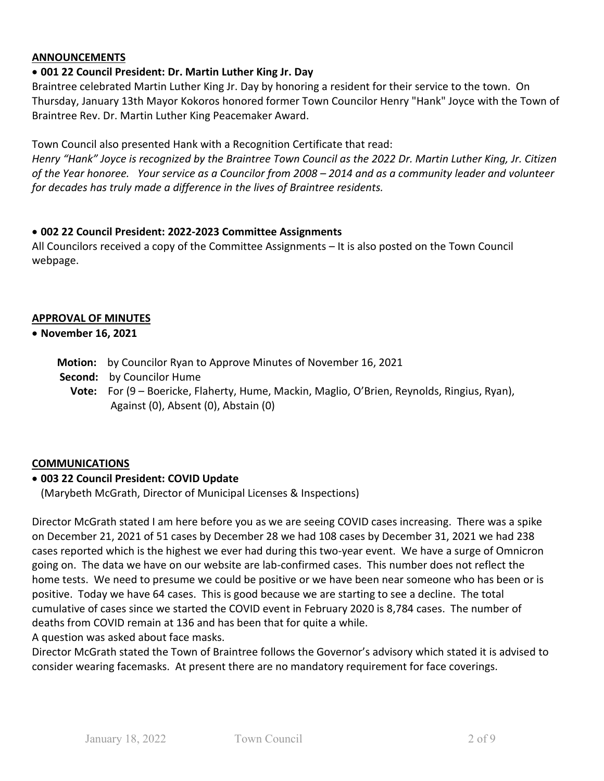## **ANNOUNCEMENTS**

# • **001 22 Council President: Dr. Martin Luther King Jr. Day**

Braintree celebrated Martin Luther King Jr. Day by honoring a resident for their service to the town. On Thursday, January 13th Mayor Kokoros honored former Town Councilor Henry "Hank" Joyce with the Town of Braintree Rev. Dr. Martin Luther King Peacemaker Award.

Town Council also presented Hank with a Recognition Certificate that read:

*Henry "Hank" Joyce is recognized by the Braintree Town Council as the 2022 Dr. Martin Luther King, Jr. Citizen of the Year honoree. Your service as a Councilor from 2008 – 2014 and as a community leader and volunteer for decades has truly made a difference in the lives of Braintree residents.*

### • **002 22 Council President: 2022-2023 Committee Assignments**

All Councilors received a copy of the Committee Assignments – It is also posted on the Town Council webpage.

#### **APPROVAL OF MINUTES**

- **November 16, 2021**
	- **Motion:** by Councilor Ryan to Approve Minutes of November 16, 2021
	- **Second:** by Councilor Hume
		- **Vote:** For (9 Boericke, Flaherty, Hume, Mackin, Maglio, O'Brien, Reynolds, Ringius, Ryan), Against (0), Absent (0), Abstain (0)

### **COMMUNICATIONS**

### • **003 22 Council President: COVID Update**

(Marybeth McGrath, Director of Municipal Licenses & Inspections)

Director McGrath stated I am here before you as we are seeing COVID cases increasing. There was a spike on December 21, 2021 of 51 cases by December 28 we had 108 cases by December 31, 2021 we had 238 cases reported which is the highest we ever had during this two-year event. We have a surge of Omnicron going on. The data we have on our website are lab-confirmed cases. This number does not reflect the home tests. We need to presume we could be positive or we have been near someone who has been or is positive. Today we have 64 cases. This is good because we are starting to see a decline. The total cumulative of cases since we started the COVID event in February 2020 is 8,784 cases. The number of deaths from COVID remain at 136 and has been that for quite a while.

A question was asked about face masks.

Director McGrath stated the Town of Braintree follows the Governor's advisory which stated it is advised to consider wearing facemasks. At present there are no mandatory requirement for face coverings.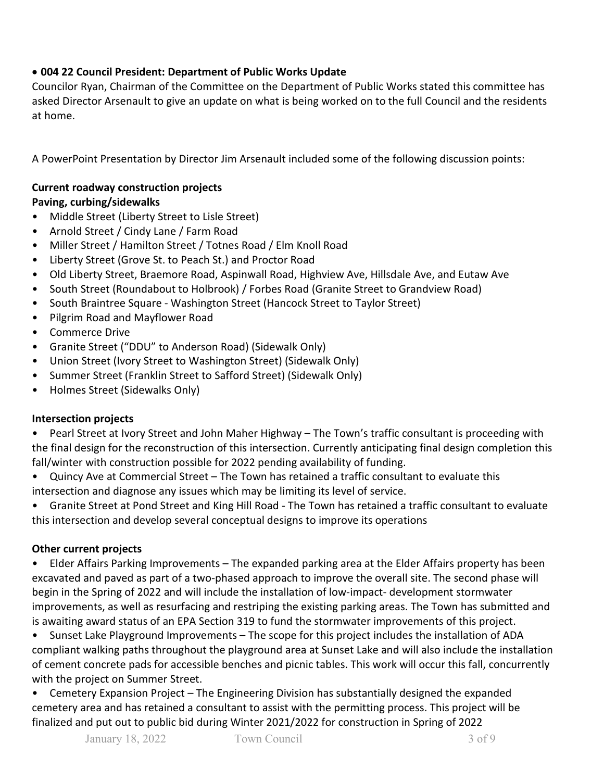# • **004 22 Council President: Department of Public Works Update**

Councilor Ryan, Chairman of the Committee on the Department of Public Works stated this committee has asked Director Arsenault to give an update on what is being worked on to the full Council and the residents at home.

A PowerPoint Presentation by Director Jim Arsenault included some of the following discussion points:

# **Current roadway construction projects**

## **Paving, curbing/sidewalks**

- Middle Street (Liberty Street to Lisle Street)
- Arnold Street / Cindy Lane / Farm Road
- Miller Street / Hamilton Street / Totnes Road / Elm Knoll Road
- Liberty Street (Grove St. to Peach St.) and Proctor Road
- Old Liberty Street, Braemore Road, Aspinwall Road, Highview Ave, Hillsdale Ave, and Eutaw Ave
- South Street (Roundabout to Holbrook) / Forbes Road (Granite Street to Grandview Road)
- South Braintree Square Washington Street (Hancock Street to Taylor Street)
- Pilgrim Road and Mayflower Road
- Commerce Drive
- Granite Street ("DDU" to Anderson Road) (Sidewalk Only)
- Union Street (Ivory Street to Washington Street) (Sidewalk Only)
- Summer Street (Franklin Street to Safford Street) (Sidewalk Only)
- Holmes Street (Sidewalks Only)

### **Intersection projects**

• Pearl Street at Ivory Street and John Maher Highway – The Town's traffic consultant is proceeding with the final design for the reconstruction of this intersection. Currently anticipating final design completion this fall/winter with construction possible for 2022 pending availability of funding.

• Quincy Ave at Commercial Street – The Town has retained a traffic consultant to evaluate this intersection and diagnose any issues which may be limiting its level of service.

• Granite Street at Pond Street and King Hill Road - The Town has retained a traffic consultant to evaluate this intersection and develop several conceptual designs to improve its operations

# **Other current projects**

• Elder Affairs Parking Improvements – The expanded parking area at the Elder Affairs property has been excavated and paved as part of a two-phased approach to improve the overall site. The second phase will begin in the Spring of 2022 and will include the installation of low-impact- development stormwater improvements, as well as resurfacing and restriping the existing parking areas. The Town has submitted and is awaiting award status of an EPA Section 319 to fund the stormwater improvements of this project.

• Sunset Lake Playground Improvements – The scope for this project includes the installation of ADA compliant walking paths throughout the playground area at Sunset Lake and will also include the installation of cement concrete pads for accessible benches and picnic tables. This work will occur this fall, concurrently with the project on Summer Street.

• Cemetery Expansion Project – The Engineering Division has substantially designed the expanded cemetery area and has retained a consultant to assist with the permitting process. This project will be finalized and put out to public bid during Winter 2021/2022 for construction in Spring of 2022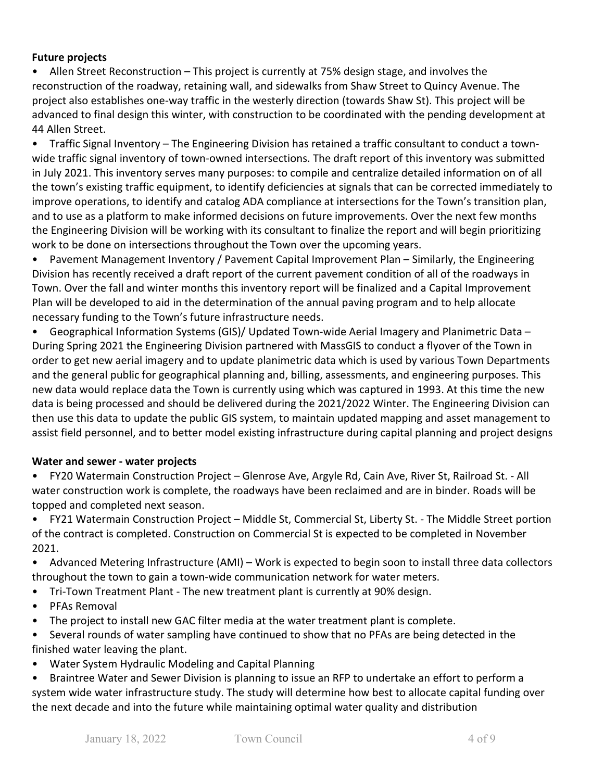## **Future projects**

• Allen Street Reconstruction – This project is currently at 75% design stage, and involves the reconstruction of the roadway, retaining wall, and sidewalks from Shaw Street to Quincy Avenue. The project also establishes one-way traffic in the westerly direction (towards Shaw St). This project will be advanced to final design this winter, with construction to be coordinated with the pending development at 44 Allen Street.

• Traffic Signal Inventory – The Engineering Division has retained a traffic consultant to conduct a townwide traffic signal inventory of town-owned intersections. The draft report of this inventory was submitted in July 2021. This inventory serves many purposes: to compile and centralize detailed information on of all the town's existing traffic equipment, to identify deficiencies at signals that can be corrected immediately to improve operations, to identify and catalog ADA compliance at intersections for the Town's transition plan, and to use as a platform to make informed decisions on future improvements. Over the next few months the Engineering Division will be working with its consultant to finalize the report and will begin prioritizing work to be done on intersections throughout the Town over the upcoming years.

• Pavement Management Inventory / Pavement Capital Improvement Plan – Similarly, the Engineering Division has recently received a draft report of the current pavement condition of all of the roadways in Town. Over the fall and winter months this inventory report will be finalized and a Capital Improvement Plan will be developed to aid in the determination of the annual paving program and to help allocate necessary funding to the Town's future infrastructure needs.

• Geographical Information Systems (GIS)/ Updated Town-wide Aerial Imagery and Planimetric Data – During Spring 2021 the Engineering Division partnered with MassGIS to conduct a flyover of the Town in order to get new aerial imagery and to update planimetric data which is used by various Town Departments and the general public for geographical planning and, billing, assessments, and engineering purposes. This new data would replace data the Town is currently using which was captured in 1993. At this time the new data is being processed and should be delivered during the 2021/2022 Winter. The Engineering Division can then use this data to update the public GIS system, to maintain updated mapping and asset management to assist field personnel, and to better model existing infrastructure during capital planning and project designs

### **Water and sewer - water projects**

• FY20 Watermain Construction Project – Glenrose Ave, Argyle Rd, Cain Ave, River St, Railroad St. - All water construction work is complete, the roadways have been reclaimed and are in binder. Roads will be topped and completed next season.

• FY21 Watermain Construction Project – Middle St, Commercial St, Liberty St. - The Middle Street portion of the contract is completed. Construction on Commercial St is expected to be completed in November 2021.

• Advanced Metering Infrastructure (AMI) – Work is expected to begin soon to install three data collectors throughout the town to gain a town-wide communication network for water meters.

- Tri-Town Treatment Plant The new treatment plant is currently at 90% design.
- PFAs Removal
- The project to install new GAC filter media at the water treatment plant is complete.
- Several rounds of water sampling have continued to show that no PFAs are being detected in the finished water leaving the plant.
- Water System Hydraulic Modeling and Capital Planning
- Braintree Water and Sewer Division is planning to issue an RFP to undertake an effort to perform a system wide water infrastructure study. The study will determine how best to allocate capital funding over the next decade and into the future while maintaining optimal water quality and distribution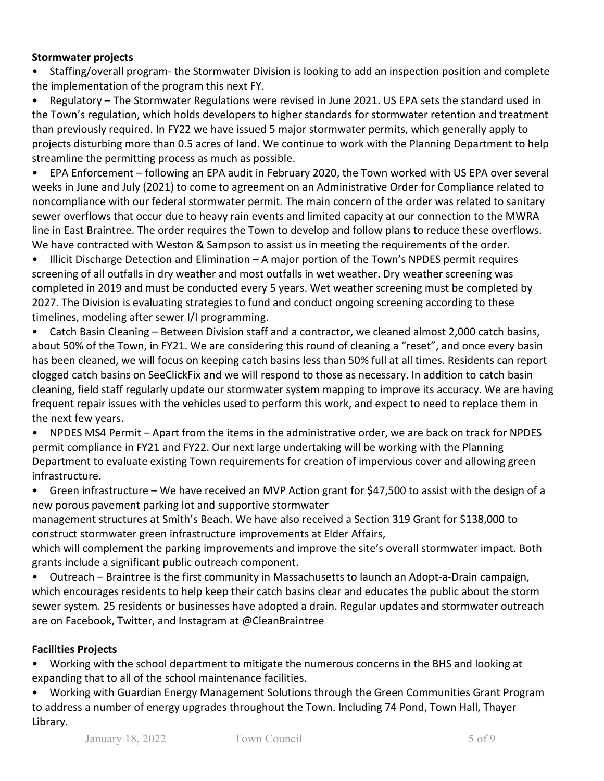## **Stormwater projects**

• Staffing/overall program- the Stormwater Division is looking to add an inspection position and complete the implementation of the program this next FY.

• Regulatory – The Stormwater Regulations were revised in June 2021. US EPA sets the standard used in the Town's regulation, which holds developers to higher standards for stormwater retention and treatment than previously required. In FY22 we have issued 5 major stormwater permits, which generally apply to projects disturbing more than 0.5 acres of land. We continue to work with the Planning Department to help streamline the permitting process as much as possible.

• EPA Enforcement – following an EPA audit in February 2020, the Town worked with US EPA over several weeks in June and July (2021) to come to agreement on an Administrative Order for Compliance related to noncompliance with our federal stormwater permit. The main concern of the order was related to sanitary sewer overflows that occur due to heavy rain events and limited capacity at our connection to the MWRA line in East Braintree. The order requires the Town to develop and follow plans to reduce these overflows. We have contracted with Weston & Sampson to assist us in meeting the requirements of the order.

• Illicit Discharge Detection and Elimination – A major portion of the Town's NPDES permit requires screening of all outfalls in dry weather and most outfalls in wet weather. Dry weather screening was completed in 2019 and must be conducted every 5 years. Wet weather screening must be completed by 2027. The Division is evaluating strategies to fund and conduct ongoing screening according to these timelines, modeling after sewer I/I programming.

• Catch Basin Cleaning – Between Division staff and a contractor, we cleaned almost 2,000 catch basins, about 50% of the Town, in FY21. We are considering this round of cleaning a "reset", and once every basin has been cleaned, we will focus on keeping catch basins less than 50% full at all times. Residents can report clogged catch basins on SeeClickFix and we will respond to those as necessary. In addition to catch basin cleaning, field staff regularly update our stormwater system mapping to improve its accuracy. We are having frequent repair issues with the vehicles used to perform this work, and expect to need to replace them in the next few years.

• NPDES MS4 Permit – Apart from the items in the administrative order, we are back on track for NPDES permit compliance in FY21 and FY22. Our next large undertaking will be working with the Planning Department to evaluate existing Town requirements for creation of impervious cover and allowing green infrastructure.

• Green infrastructure – We have received an MVP Action grant for \$47,500 to assist with the design of a new porous pavement parking lot and supportive stormwater

management structures at Smith's Beach. We have also received a Section 319 Grant for \$138,000 to construct stormwater green infrastructure improvements at Elder Affairs,

which will complement the parking improvements and improve the site's overall stormwater impact. Both grants include a significant public outreach component.

• Outreach – Braintree is the first community in Massachusetts to launch an Adopt-a-Drain campaign, which encourages residents to help keep their catch basins clear and educates the public about the storm sewer system. 25 residents or businesses have adopted a drain. Regular updates and stormwater outreach are on Facebook, Twitter, and Instagram at @CleanBraintree

# **Facilities Projects**

• Working with the school department to mitigate the numerous concerns in the BHS and looking at expanding that to all of the school maintenance facilities.

• Working with Guardian Energy Management Solutions through the Green Communities Grant Program to address a number of energy upgrades throughout the Town. Including 74 Pond, Town Hall, Thayer Library.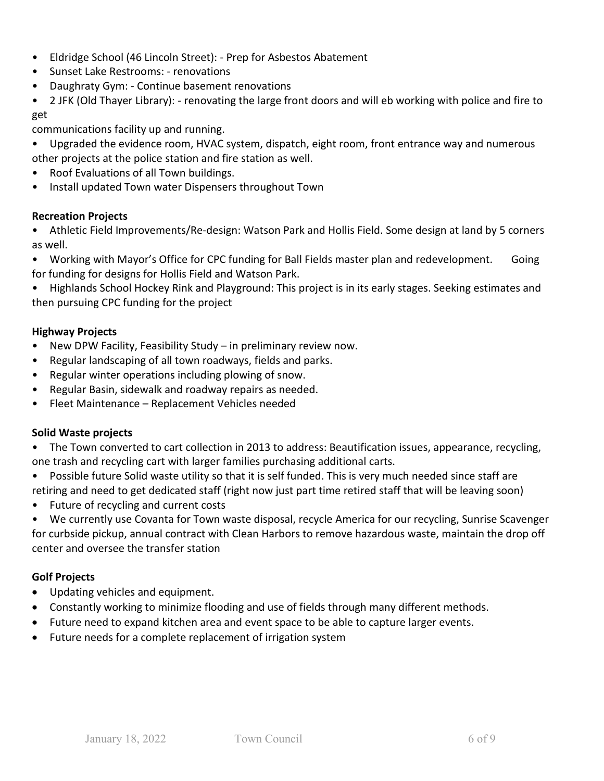- Eldridge School (46 Lincoln Street): Prep for Asbestos Abatement
- Sunset Lake Restrooms: renovations
- Daughraty Gym: Continue basement renovations
- 2 JFK (Old Thayer Library): renovating the large front doors and will eb working with police and fire to get

communications facility up and running.

- Upgraded the evidence room, HVAC system, dispatch, eight room, front entrance way and numerous other projects at the police station and fire station as well.
- Roof Evaluations of all Town buildings.
- Install updated Town water Dispensers throughout Town

#### **Recreation Projects**

• Athletic Field Improvements/Re-design: Watson Park and Hollis Field. Some design at land by 5 corners as well.

• Working with Mayor's Office for CPC funding for Ball Fields master plan and redevelopment. Going for funding for designs for Hollis Field and Watson Park.

• Highlands School Hockey Rink and Playground: This project is in its early stages. Seeking estimates and then pursuing CPC funding for the project

### **Highway Projects**

- New DPW Facility, Feasibility Study in preliminary review now.
- Regular landscaping of all town roadways, fields and parks.
- Regular winter operations including plowing of snow.
- Regular Basin, sidewalk and roadway repairs as needed.
- Fleet Maintenance Replacement Vehicles needed

#### **Solid Waste projects**

• The Town converted to cart collection in 2013 to address: Beautification issues, appearance, recycling, one trash and recycling cart with larger families purchasing additional carts.

- Possible future Solid waste utility so that it is self funded. This is very much needed since staff are retiring and need to get dedicated staff (right now just part time retired staff that will be leaving soon)
- Future of recycling and current costs
- We currently use Covanta for Town waste disposal, recycle America for our recycling, Sunrise Scavenger

for curbside pickup, annual contract with Clean Harbors to remove hazardous waste, maintain the drop off center and oversee the transfer station

### **Golf Projects**

- Updating vehicles and equipment.
- Constantly working to minimize flooding and use of fields through many different methods.
- Future need to expand kitchen area and event space to be able to capture larger events.
- Future needs for a complete replacement of irrigation system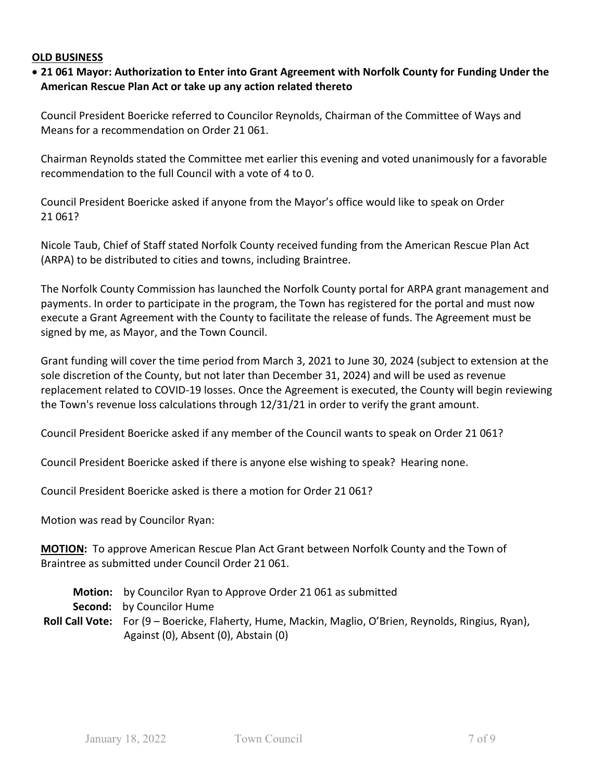#### **OLD BUSINESS**

## • **21 061 Mayor: Authorization to Enter into Grant Agreement with Norfolk County for Funding Under the American Rescue Plan Act or take up any action related thereto**

Council President Boericke referred to Councilor Reynolds, Chairman of the Committee of Ways and Means for a recommendation on Order 21 061.

Chairman Reynolds stated the Committee met earlier this evening and voted unanimously for a favorable recommendation to the full Council with a vote of 4 to 0.

Council President Boericke asked if anyone from the Mayor's office would like to speak on Order 21 061?

Nicole Taub, Chief of Staff stated Norfolk County received funding from the American Rescue Plan Act (ARPA) to be distributed to cities and towns, including Braintree.

The Norfolk County Commission has launched the Norfolk County portal for ARPA grant management and payments. In order to participate in the program, the Town has registered for the portal and must now execute a Grant Agreement with the County to facilitate the release of funds. The Agreement must be signed by me, as Mayor, and the Town Council.

Grant funding will cover the time period from March 3, 2021 to June 30, 2024 (subject to extension at the sole discretion of the County, but not later than December 31, 2024) and will be used as revenue replacement related to COVID-19 losses. Once the Agreement is executed, the County will begin reviewing the Town's revenue loss calculations through 12/31/21 in order to verify the grant amount.

Council President Boericke asked if any member of the Council wants to speak on Order 21 061?

Council President Boericke asked if there is anyone else wishing to speak? Hearing none.

Council President Boericke asked is there a motion for Order 21 061?

Motion was read by Councilor Ryan:

**MOTION:** To approve American Rescue Plan Act Grant between Norfolk County and the Town of Braintree as submitted under Council Order 21 061.

 **Motion:** by Councilor Ryan to Approve Order 21 061 as submitted

 **Second:** by Councilor Hume

**Roll Call Vote:** For (9 – Boericke, Flaherty, Hume, Mackin, Maglio, O'Brien, Reynolds, Ringius, Ryan), Against (0), Absent (0), Abstain (0)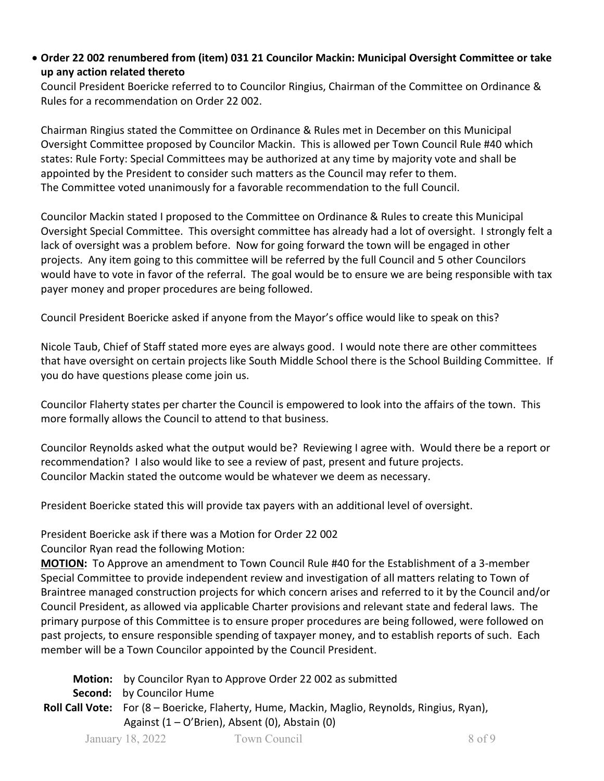• **Order 22 002 renumbered from (item) 031 21 Councilor Mackin: Municipal Oversight Committee or take up any action related thereto**

Council President Boericke referred to to Councilor Ringius, Chairman of the Committee on Ordinance & Rules for a recommendation on Order 22 002.

Chairman Ringius stated the Committee on Ordinance & Rules met in December on this Municipal Oversight Committee proposed by Councilor Mackin. This is allowed per Town Council Rule #40 which states: Rule Forty: Special Committees may be authorized at any time by majority vote and shall be appointed by the President to consider such matters as the Council may refer to them. The Committee voted unanimously for a favorable recommendation to the full Council.

Councilor Mackin stated I proposed to the Committee on Ordinance & Rules to create this Municipal Oversight Special Committee. This oversight committee has already had a lot of oversight. I strongly felt a lack of oversight was a problem before. Now for going forward the town will be engaged in other projects. Any item going to this committee will be referred by the full Council and 5 other Councilors would have to vote in favor of the referral. The goal would be to ensure we are being responsible with tax payer money and proper procedures are being followed.

Council President Boericke asked if anyone from the Mayor's office would like to speak on this?

Nicole Taub, Chief of Staff stated more eyes are always good. I would note there are other committees that have oversight on certain projects like South Middle School there is the School Building Committee. If you do have questions please come join us.

Councilor Flaherty states per charter the Council is empowered to look into the affairs of the town. This more formally allows the Council to attend to that business.

Councilor Reynolds asked what the output would be? Reviewing I agree with. Would there be a report or recommendation? I also would like to see a review of past, present and future projects. Councilor Mackin stated the outcome would be whatever we deem as necessary.

President Boericke stated this will provide tax payers with an additional level of oversight.

President Boericke ask if there was a Motion for Order 22 002

Councilor Ryan read the following Motion:

**MOTION:** To Approve an amendment to Town Council Rule #40 for the Establishment of a 3-member Special Committee to provide independent review and investigation of all matters relating to Town of Braintree managed construction projects for which concern arises and referred to it by the Council and/or Council President, as allowed via applicable Charter provisions and relevant state and federal laws. The primary purpose of this Committee is to ensure proper procedures are being followed, were followed on past projects, to ensure responsible spending of taxpayer money, and to establish reports of such. Each member will be a Town Councilor appointed by the Council President.

January 18, 2022 Town Council 8 of 9  **Motion:** by Councilor Ryan to Approve Order 22 002 as submitted  **Second:** by Councilor Hume **Roll Call Vote:** For (8 – Boericke, Flaherty, Hume, Mackin, Maglio, Reynolds, Ringius, Ryan), Against (1 – O'Brien), Absent (0), Abstain (0)